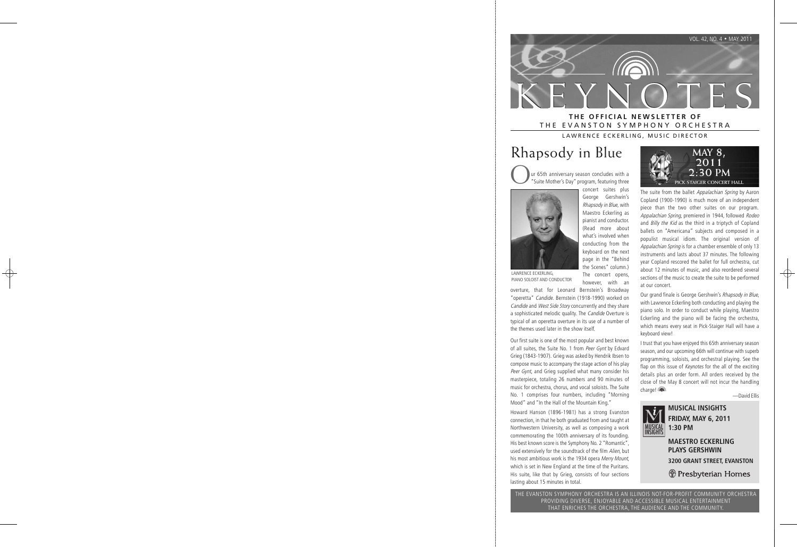

# THE EVANSTON SYMPHONY ORCHESTRA

LAWRENCE ECKERLING, MUSIC DIRECTOR

# Rhapsody in Blue

Our 65th anniversary season concludes with a "Suite Mother's Day" program, featuring three

concert suites plus George Gershwin's Rhapsody in Blue, with Maestro Eckerling as pianist and conductor. (Read more about what's involved when conducting from the keyboard on the next page in the "Behind the Scenes" column.) The concert opens,



LAWRENCE ECKERLING, PIANO SOLOIST AND CONDUCTOR

however, with an overture, that for Leonard Bernstein's Broadway "operetta" Candide. Bernstein (1918-1990) worked on Candide and West Side Story concurrently and they share a sophisticated melodic quality. The Candide Overture is typical of an operetta overture in its use of a number of the themes used later in the show itself.

Our first suite is one of the most popular and best known of all suites, the Suite No. 1 from Peer Gynt by Edvard Grieg (1843-1907). Grieg was asked by Hendrik Ibsen to compose music to accompany the stage action of his play Peer Gynt, and Grieg supplied what many consider his masterpiece, totaling 26 numbers and 90 minutes of music for orchestra, chorus, and vocal soloists. The Suite No. 1 comprises four numbers, including "Morning Mood" and "In the Hall of the Mountain King."

Howard Hanson (1896-1981) has a strong Evanston connection, in that he both graduated from and taught at Northwestern University, as well as composing a work commemorating the 100th anniversary of its founding. His best known score is the Symphony No. 2 "Romantic", used extensively for the soundtrack of the film Alien, but his most ambitious work is the 1934 opera Merry Mount, which is set in New England at the time of the Puritans. His suite, like that by Grieg, consists of four sections lasting about 15 minutes in total.



The suite from the ballet Appalachian Spring by Aaron Copland (1900-1990) is much more of an independent piece than the two other suites on our program. Appalachian Spring, premiered in 1944, followed Rodeo and Billy the Kid as the third in a triptych of Copland ballets on "Americana" subjects and composed in a populist musical idiom. The original version of Appalachian Spring is for a chamber ensemble of only 13 instruments and lasts about 37 minutes. The following year Copland rescored the ballet for full orchestra, cut about 12 minutes of music, and also reordered several sections of the music to create the suite to be performed at our concert.

Our grand finale is George Gershwin's Rhapsody in Blue, with Lawrence Eckerling both conducting and playing the piano solo. In order to conduct while playing, Maestro Eckerling and the piano will be facing the orchestra, which means every seat in Pick-Staiger Hall will have a keyboard view!

I trust that you have enjoyed this 65th anniversary season season, and our upcoming 66th will continue with superb programming, soloists, and orchestral playing. See the flap on this issue of Keynotes for the all of the exciting details plus an order form. All orders received by the close of the May 8 concert will not incur the handling charge!

—David Ellis

# MUSICAL INSIGHTS

**MUSICAL INSIGHTS FRIDAY, MAY 6, 2011 1:30 PM** 

**MAESTRO ECKERLING PLAYS GERSHWIN 3200 GRANT STREET, EVANSTON** *H* Presbyterian Homes

THE EVANSTON SYMPHONY ORCHESTRA IS AN ILLINOIS NOT-FOR-PROFIT COMMUNITY ORCHESTRA PROVIDING DIVERSE, ENJOYABLE AND ACCESSIBLE MUSICAL ENTERTAINMENT THAT ENRICHES THE ORCHESTRA, THE AUDIENCE AND THE COMMUNITY.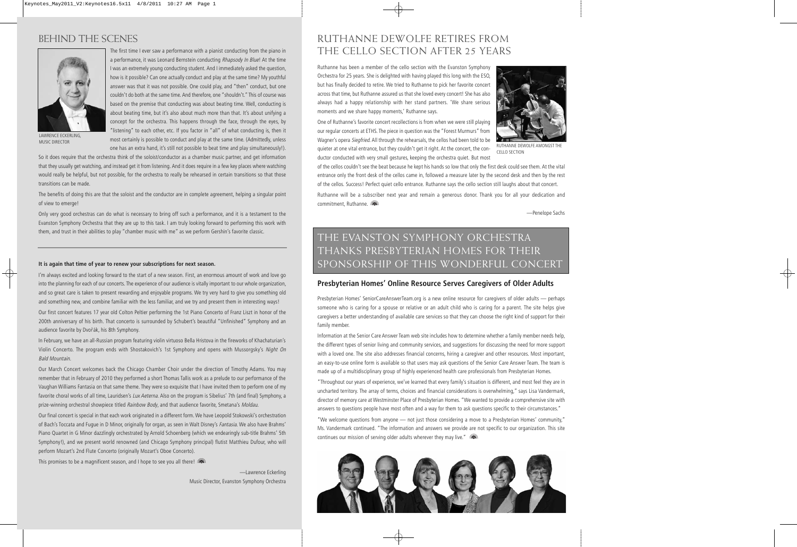## BEHIND THE SCENES



The first time I ever saw a performance with a pianist conducting from the piano in a performance, it was Leonard Bernstein conducting Rhapsody In Blue! At the time I was an extremely young conducting student. And I immediately asked the question, how is it possible? Can one actually conduct and play at the same time? My youthful answer was that it was not possible. One could play, and "then" conduct, but one couldn't do both at the same time. And therefore, one "shouldn't." This of course was based on the premise that conducting was about beating time. Well, conducting is about beating time, but it's also about much more than that. It's about unifying a concept for the orchestra. This happens through the face, through the eyes, by "listening" to each other, etc. If you factor in "all" of what conducting is, then it most certainly is possible to conduct and play at the same time. (Admittedly, unless one has an extra hand, it's still not possible to beat time and play simultaneously!).

LAWRENCE ECKERLING, MUSIC DIRECTOR

So it does require that the orchestra think of the soloist/ conductor as a chamber music partner, and get information that they usually get watching, and instead get it from listening. And it does require in a few key places where watching would really be helpful, but not possible, for the orchestra to really be rehearsed in certain transitions so that those transitions can be made.

The benefits of doing this are that the soloist and the conductor are in complete agreement, helping a singular point of view to emerge!

Only very good orchestras can do what is necessary to bring off such a performance, and it is a testament to the Evanston Symphony Orchestra that they are up to this task. I am truly looking forward to performing this work with them, and trust in their abilities to play "chamber music with me" as we perform Gershin's favorite classic.

#### **It is again that time of year to renew your subscriptions for next season.**

I'm always excited and looking forward to the start of a new season. First, an enormous amount of work and love go into the planning for each of our concerts. The experience of our audience is vitally important to our whole organization, and so great care is taken to present rewarding and enjoyable programs. We try very hard to give you something old and something new, and combine familiar with the less familiar, and we try and present them in interesting ways!

Our first concert features 17 year old Colton Peltier performing the 1st Piano Concerto of Franz Liszt in honor of the 200th anniversary of his birth. That concerto is surrounded by Schubert's beautiful "Unfinished" Symphony and an audience favorite by Dvořák, his 8th Symphony.

In February, we have an all-Russian program featuring violin virtuoso Bella Hristova in the fireworks of Khachaturian's Violin Concerto. The program ends with Shostakovich's 1st Symphony and opens with Mussorgsky's Night On Bald Mountain.

Our March Concert welcomes back the Chicago Chamber Choir under the direction of Timothy Adams. You may remember that in February of 2010 they performed a short Thomas Tallis work as a prelude to our performance of the Vaughan Williams Fantasia on that same theme. They were so exquisite that I have invited them to perform one of my favorite choral works of all time, Lauridsen's Lux Aeterna. Also on the program is Sibelius' 7th (and final) Symphony, a prize-winning orchestral showpiece titled Rainbow Body, and that audience favorite, Smetana's Moldau.

Our final concert is special in that each work originated in a different form. We have Leopold Stokowski's orchestration of Bach's Toccata and Fugue in D Minor, originally for organ, as seen in Walt Disney's Fantasia. We also have Brahms' Piano Quartet in G Minor dazzlingly orchestrated by Arnold Schoenberg (which we endearingly sub-title Brahms' 5th Symphony!), and we present world renowned (and Chicago Symphony principal) flutist Matthieu Dufour, who will perform Mozart's 2nd Flute Concerto (originally Mozart's Oboe Concerto).

This promises to be a magnificent season, and I hope to see you all there!

—Lawrence Eckerling Music Director, Evanston Symphony Orchestra

## RUTHANNE DEWOLFE RETIRES FROM THE CELLO SECTION AFTER 25 YEARS

Ruthanne has been a member of the cello section with the Evanston Symphony Orchestra for 25 years. She is delighted with having played this long with the ESO, but has finally decided to retire. We tried to Ruthanne to pick her favorite concert across that time, but Ruthanne assured us that she loved every concert! She has also always had a happy relationship with her stand partners. 'We share serious moments and we share happy moments,' Ruthanne says.

One of Ruthanne's favorite concert recollections is from when we were still playing our regular concerts at ETHS. The piece in question was the "Forest Murmurs" from Wagner's opera Siegfried. All through the rehearsals, the cellos had been told to be quieter at one vital entrance, but they couldn't get it right. At the concert, the conductor conducted with very small gestures, keeping the orchestra quiet. But most



RUTHANNE DEWOLFE AMONGST THE CELLO SECTION

of the cellos couldn't see the beat because he kept his hands so low that only the first desk could see them. At the vital entrance only the front desk of the cellos came in, followed a measure later by the second desk and then by the rest of the cellos. Success! Perfect quiet cello entrance. Ruthanne says the cello section still laughs about that concert.

Ruthanne will be a subscriber next year and remain a generous donor. Thank you for all your dedication and commitment, Ruthanne.

—Penelope Sachs

## THE EVANSTON SYMPHONY ORCHESTRA THANKS PRESBYTERIAN HOMES FOR THEIR SPONSORSHIP OF THIS WONDERFUL CONCERT

#### **Presbyterian Homes' Online Resource Serves Caregivers of Older Adults**

Presbyterian Homes' SeniorCareAnswerTeam.org is a new online resource for caregivers of older adults — perhaps someone who is caring for a spouse or relative or an adult child who is caring for a parent. The site helps give caregivers a better understanding of available care services so that they can choose the right kind of support for their family member.

Information at the Senior Care Answer Team web site includes how to determine whether a family member needs help, the different types of senior living and community services, and suggestions for discussing the need for more support with a loved one. The site also addresses financial concerns, hiring a caregiver and other resources. Most important, an easy-to-use online form is available so that users may ask questions of the Senior Care Answer Team. The team is made up of a multidisciplinary group of highly experienced health care professionals from Presbyterian Homes.

"Throughout our years of experience, we've learned that every family's situation is different, and most feel they are in uncharted territory. The array of terms, choices and financial considerations is overwhelming," says Lisa Vandermark, director of memory care at Westminster Place of Presbyterian Homes. "We wanted to provide a comprehensive site with answers to questions people have most often and a way for them to ask questions specific to their circumstances."

"We welcome questions from anyone — not just those considering a move to a Presbyterian Homes' community," Ms. Vandermark continued. "The information and answers we provide are not specific to our organization. This site continues our mission of serving older adults wherever they may live." **A**